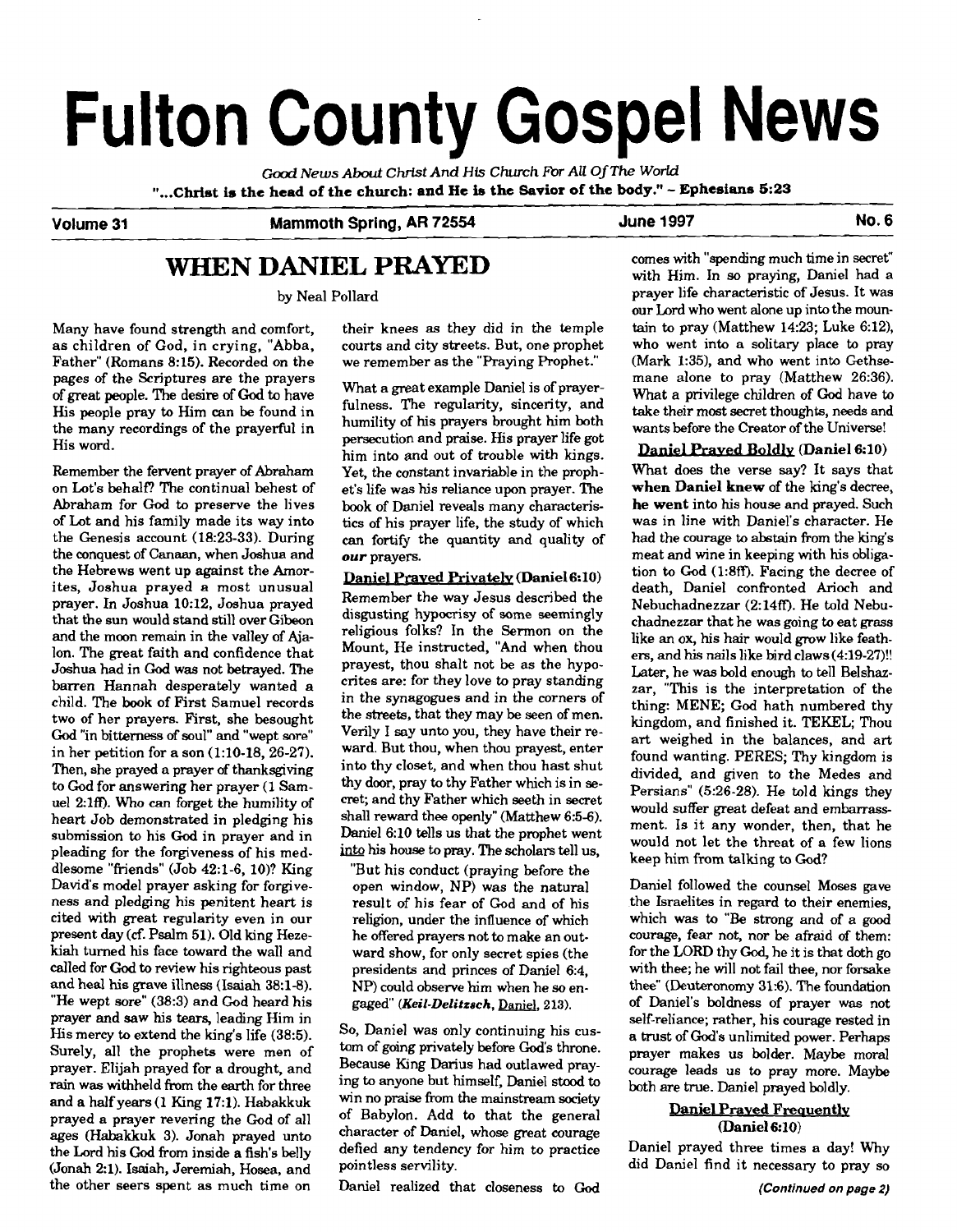# **Fulton County Gospel News**

*Good News* **About Christ And His** *Church* **For** *All* **OfThe World "...CMst is the head of the church: and He is the Savior of the body."** - **Ephesians 5:23** 

# Volume 31 **Mammoth Spring, AR 72554** June 1997 **No. 6 No. 6**

# **WHEN DANIEL PRAYED**

by Neal Pollard

as children of God, in crying, "Abba, courts and city streets. But, one prophe Father" (Romans 8:15). Recorded on the we remember as the "Praying Prophet." Father" (Romans 8:15). Recorded on the pages of the Scriptures are the prayers His people pray to Him can be found in the many recordings of the prayerful in the many recordings of the prayerful in humility of his prayers brought him both<br>His word.

Remember the fervent prayer of Abraham on Lot's behalf? The continual behest of Abraham for God to preserve the lives of Lot and his family made its way into the Genesis account (18:23-33). During the conquest of Canaan, when Joshua and the Hebrews went up against the Amorites, Joshua prayed a most unusual prayer. In Joshua 10:12, Joshua prayed that the sun would stand still over Gibeon and the moon remain in the valley of Ajalon. The great faith and confidence that Joshua had in God was not betrayed. The barren Hannah desperately wanted a child. The **book** of First Samuel records two of her prayers. First, she besought God "in bitterness **of** soul" and "wept sore" in her petition for a son  $(1:10-18, 26-27)$ . Then, she prayed a prayer of thanksgiving to God for answering her prayer **(1** Samuel 2:lff). Who can forget the humility of heart Job demonstrated in pledging his submission **to** his God in prayer and in pleading for the forgiveness of his meddlesome "friends" (Job 42:1-6, 10)? King David's model prayer asking for forgiveness and pledging his penitent heart is cited with great regularity even in our present day **(cf.** Psalm 51). Old king Heze**kiah** turned his face toward the wall and called for God to review his righteous past and heal his grave illness (Isaiah 38:1-8). "He wept sore" (38:3) and God heard his prayer and saw his tears, leading Him in His mercy to extend the king's life (38:5). Surely, all the prophets were men of prayer. Elijah prayed for a drought, and rain was withheld from the earth for three and a half years (1 King 17:l). Habakkuk prayed a prayer revering the God of all ages (Habakkuk 3). Jonah prayed unto the Lord his God from inside a fish's belly (Jonah 21). Isaiah, Jeremiah, Hosea, and the other seers spent as much time on

Many have found strength and comfort, their knees as they did in the temple as children of God, in crying, "Abba, courts and city streets. But, one prophet

What a great example Daniel is of prayer-<br>fulness. The regularity, sincerity, and persecution and praise. His prayer life got him into and out of trouble with kings. Yet, the constant invariable in the prophet's life was his reliance upon prayer. The book of Daniel reveals many characteristics of his prayer life, the study of which can fortify the quantity and quality of our prayers.

Daniel Prayed Privately (Daniel 6:10) Remember the way Jesus described the disgusting hypocrisy of some seemingly religious folks? In the Sermon on the Mount. He instructed. "And when thou prayest, thou shalt not be as the hypocrites are: for they love to pray standing in the synagogues and in the corners of the streets, that they may be seen of men. Verily I say unto you, they have their reward. But thou, when thou prayest, enter into thy closet, and when thou hast shut thy door, pray to thy Father which is in **se**cret; and thy Father which seeth in secret shall reward thee openly" (Matthew 6:5-6). Daniel 6:10 tells us that the prophet went into his house to pray. The scholars tell us,

"But his conduct (praying before the open window, NP) was the natural result of his fear of God and of his religion, under the influence of which he offered prayers not to make an outward show, for only secret spies (the presidents and princes of Daniel 6:4, NP) could observe him when he *so* engaged" (Keil-Delitzsch, Daniel, 213).

So, Daniel was only continuing his custom of going privately before God's throne. Because King Darius had outlawed praying to anyone but himself, Daniel stood to win no praise from the mainstream society of Babylon. Add to that the general character of Daniel, whose great courage defied any tendency for him to practice pointless servility.

Daniel realized that closeness to God

comes with "spending much time in secret" with Him. In so praying, Daniel had a prayer life characteristic of Jesus. It was our Lord who went alone up into the mountain to pray (Matthew 14:23; Luke 6:12), who went into a solitary place to pray (Mark 1:35), and who went into Gethsemane alone to pray (Matthew 26:36). What a privilege children of God have to take their most secret thoughts, needs and wants before the Creator of the Universe!

# Daniel Praved Boldly (Daniel 6:10)

What does the verse say? It says that when Daniel knew of the king's decree, he went into his house and prayed. Such was in line with Daniel's character. He had the courage to abstain from the king's meat and wine in keeping with his obligation to God (1:8ff). Facing the decree of death, Daniel confronted **Arioch** and Nebuchadnezzar (2:14ff). He told Nebuchadnezzar that he was going to eat grass like an ox, his hair would grow like feathers, and his nails like bird claws (4:19-27)!! Later, he was bold enough to tell Belshazzar, "This is the interpretation of the thing: MENE; God hath numbered thy kingdom, and finished it. TEKEL; Thou art weighed in the balances, and art found wanting. PERES; Thy kingdom is divided, and given to the Medes and Persians" (5:26-28). He told kings they would suffer great defeat and embarrassment. Is it any wonder, then, that he would not let the threat of a few lions keep him from talking to God?

Daniel followed the counsel Moses gave the Israelites in regard to their enemies, which was to "Be strong and of a good courage, fear not, nor be afraid of them: for the LORD thy God, he it is that doth go with thee; he will not fail thee, nor forsake thee" (Deuteronomy **31:6).** The foundation of Daniel's boldness of prayer was not self-reliance; rather, his courage rested in a trust of God's unlimited power. Perhaps prayer makes us bolder. Maybe moral courage leads us to pray more. Maybe both are true. Daniel prayed boldly.

# Daniel **Praved** Freauently (Daniel 6:10)

Daniel prayed three times a day! Why did Daniel find it necessary to pray so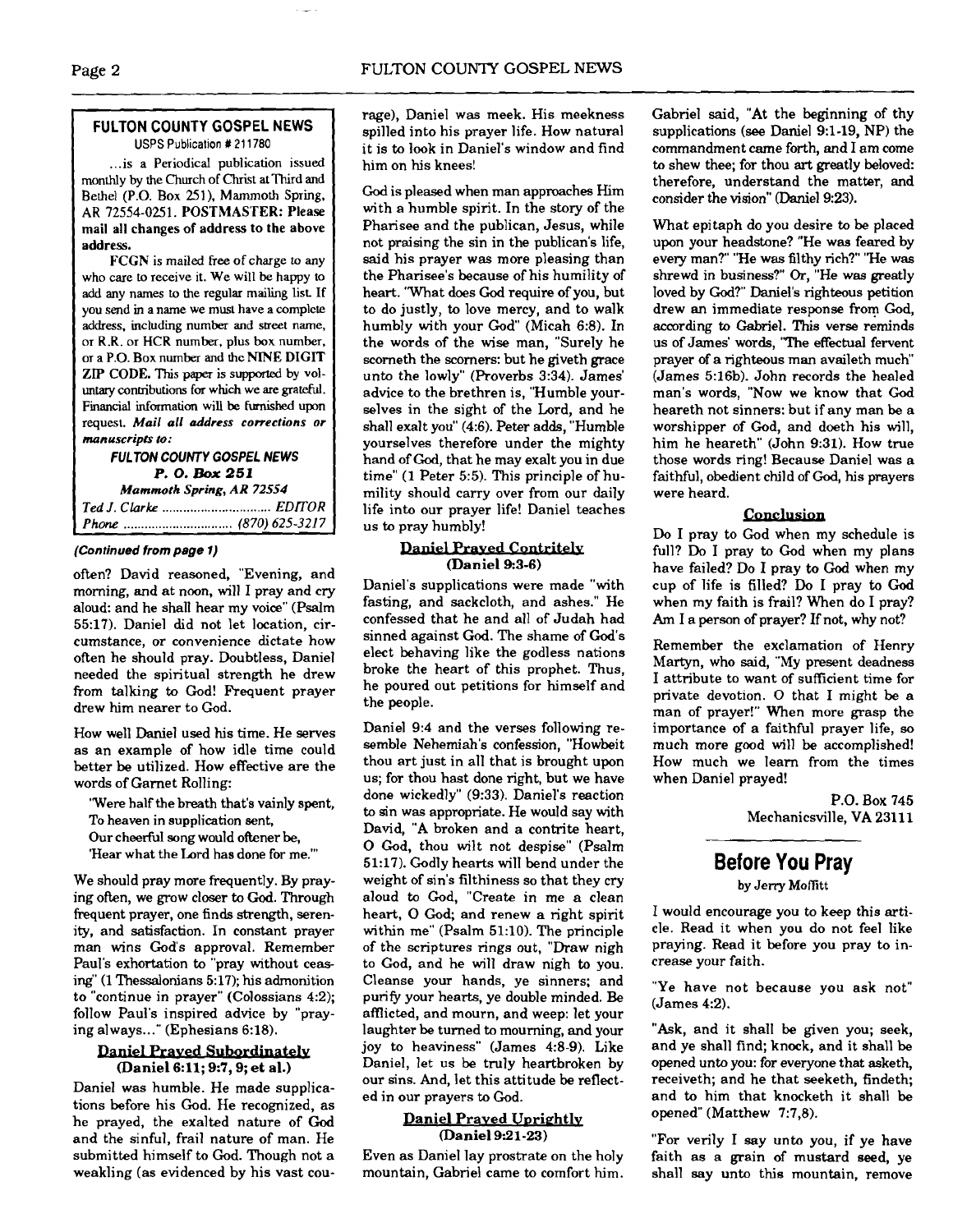# **FULTON COUNTY GOSPEL NEWS USPS** Publicallon # **21** 1780

 $\mathbf{r}$ 

... is a Periodical publication issued monthly by the Church of **Christ** at Third and Bethel (P.O. Box 251). Mammoth Spring. AR 72554-0251. POSTMASTER: Please mail all changes of address to the above address.

FCGN is mailed free of charge to any who care to receive it. We will be happy to add any names to the regular mailing list If you send in a name we must have a complete address. including number and street name, or **R.R.** or **HCR** number, plus **box** number, or a P.O. Box number and the NINE DIGIT ZIP CODE. **This** paper is supported by voluntary conmbutions for which we are grateful. **Fmancial information** will be **Furnished** upon request. *Mail all* **address corrections or manuscripts** *to:* 

## **FULTON COUNTY GOSPEL NEWS P. 0. Box** *251 Mammoth* **Spring,** *AR 72554 Ted J. Clarke* ............................... *EDITOR*

*Phone* ............................... (870) *625-321* 7

# **(Continued from page 1)**

often? David reasoned, "Evening, and morning, and at noon, will I pray and cry aloud: and he shall hear my voice" (Psalm 55:17). Daniel did not let location. circumstance, or convenience dictate how often he should pray. Doubtless, Daniel needed the spiritual strength he drew from talking to God! Frequent prayer drew him nearer to God.

How well Daniel used his time. He serves as an example of how idle time could better be utilized. How effective are the words of Garnet Rolling:

'Were half the breath that's vainly spent, To heaven in supplication sent, Our cheerful song would oftener be, 'Hear what the Lard has done for me."'

We should pray more frequently. By praying often, we grow closer to God. Through frequent prayer, one finds strength, serenity, and satisfaction. In constant prayer man wins God's approval. Remember Paul's exhortation to "pray without ceasing" (1 Thessalonians 5:17); his admonition to "continue in prayer" (Colossians 4:2); follow Paul's inspired advice by "praying always ..." (Ephesians 6:18).

#### Daniel Prayed Subordinately (Daniel 6:ll; **9:7,9;** et al.)

Daniel was humble. He made supplications before his God. He recognized, as he prayed, the exalted nature of God and the sinful, frail nature of man. He submitted himself to God. Though not a weakling (as evidenced by his vast courage), Daniel was meek. His meekness spilled into his prayer life. How natural it is to look in Daniel's window and find him on his knees!

God is pleased when man approaches Him with a humble spirit. In the story of the Pharisee and the publican, Jesus, while not praising the sin in the publican's life, said his prayer was more pleasing than the Pharisee's because of his humility of heart. 'What does God require of you, but to do justly, to love mercy, and to walk humbly with your God" (Micah 6:8). In the words of the wise man, "Surely he scorneth the scorners: but he giveth grace unto the lowly" (Proverbs 3:34). James' advice to the brethren is, "Humble yourselves in the sight of the Lord, and he shall exalt you" (4:6). Peter adds, "Humble yourselves therefore under the mighty hand of God, that he may exalt you in due time" (1 Peter **5:5).** This principle of humility should carry over from our daily life into our prayer life! Daniel teaches us to pray humbly!

# **Daniel Prayed Contritely** (Daniel **9:3-6)**

Daniel's supplications were made "with fasting, and sackcloth, and ashes." He confessed that he and all of Judah had sinned against God. The shame of God's elect behaving like the godless nations broke the heart of this prophet. Thus, he poured out petitions for himself and the people.

Daniel 9:4 and the verses following resemble Nehemiah's confession, "Howbeit thou art just in all that is brought upon us; for thou hast done right, but we have done wickedly" (9:33). Daniel's reaction to sin was appropriate. He would say with David, "A broken and a contrite heart, **0** God, thou wilt not despise" (Psalm 51:17). Godly hearts will bend under the weight of sin's filthiness so that they cry aloud to God, "Create in me a clean heart, **0** God; and renew a right spirit within me" (Psalm 51:10). The principle of the scriptures rings out, "Draw nigh to God, and he will draw nigh to you. Cleanse your hands, ye sinners; and purify your hearts, ye double minded. Be afflicted, and mourn, and weep: let your laughter be turned to mourning, and your joy to heaviness" (James 4:8-9). Like Daniel, let us be truly heartbroken by our sins. And, let this attitude be reflected in our prayers to God.

### Daniel Praved Uprightly (Daniel 9:21-23)

Even as Daniel lay prostrate on the holy mountain, Gabriel came to comfort him. Gabriel said, "At the beginning of thy supplications **(see** Daniel 9:l-19, NP) the commandment came forth, and I am come to shew thee; for thou art greatly beloved: therefore, understand the matter, and consider the vision" (Daniel 9:23).

What epitaph do you desire to be placed upon your headstone? "He was feared by every man?" "He was filthy rich?" "He was shrewd in business?" Or, "He was greatly loved by God?" Daniel's righteous petition drew an immediate response from God, according to Gabriel. This verse reminds us of James' words, "The effectual fervent prayer of a righteous man availeth much (James 5:16b). John records the healed man's words, "Now we know that God heareth not sinners: but if any man be a worshipper of God, and doeth his will, him he heareth" (John 9:31). How true those words ring! Because Daniel was a faithful, obedient child of God, his prayers were heard.

# Conclusion

Do I pray to God when my schedule is full? Do I pray to God when my plans have failed? Do I pray to God when my cup of life is filled? Do I pray to God when my faith is frail? When do I pray? Am I a person of prayer? If not, why not?

Remember the exclamation of Henry Martyn, who said, "My present deadness I attribute to want of sufficient time for private devotion. 0 that I might be a man of prayer!" When more grasp the importance of a faithful prayer life, so much more good will be accomplished! How much we learn from the times when Daniel prayed!

> P.O. Box 745 Mechanicsville, VA 23111

# **Before You Pray**

by Jerry **MofIitt** 

I would encourage you to keep this article. Read it when you do not feel like praying. Read it before you pray to increase your faith.

"Ye have not because you ask not" (James 4:2).

"Ask, and it shall be given you; seek, and ye shall find; knock, and it shall be opened unto you: for everyone that asketh, receiveth; and he that seeketh, findeth; and to him that knocketh it shall be opened" (Matthew 7:7,8).

"For verily I say unto you, if ye have faith as a grain of mustard seed, ye shall say unto this mountain, remove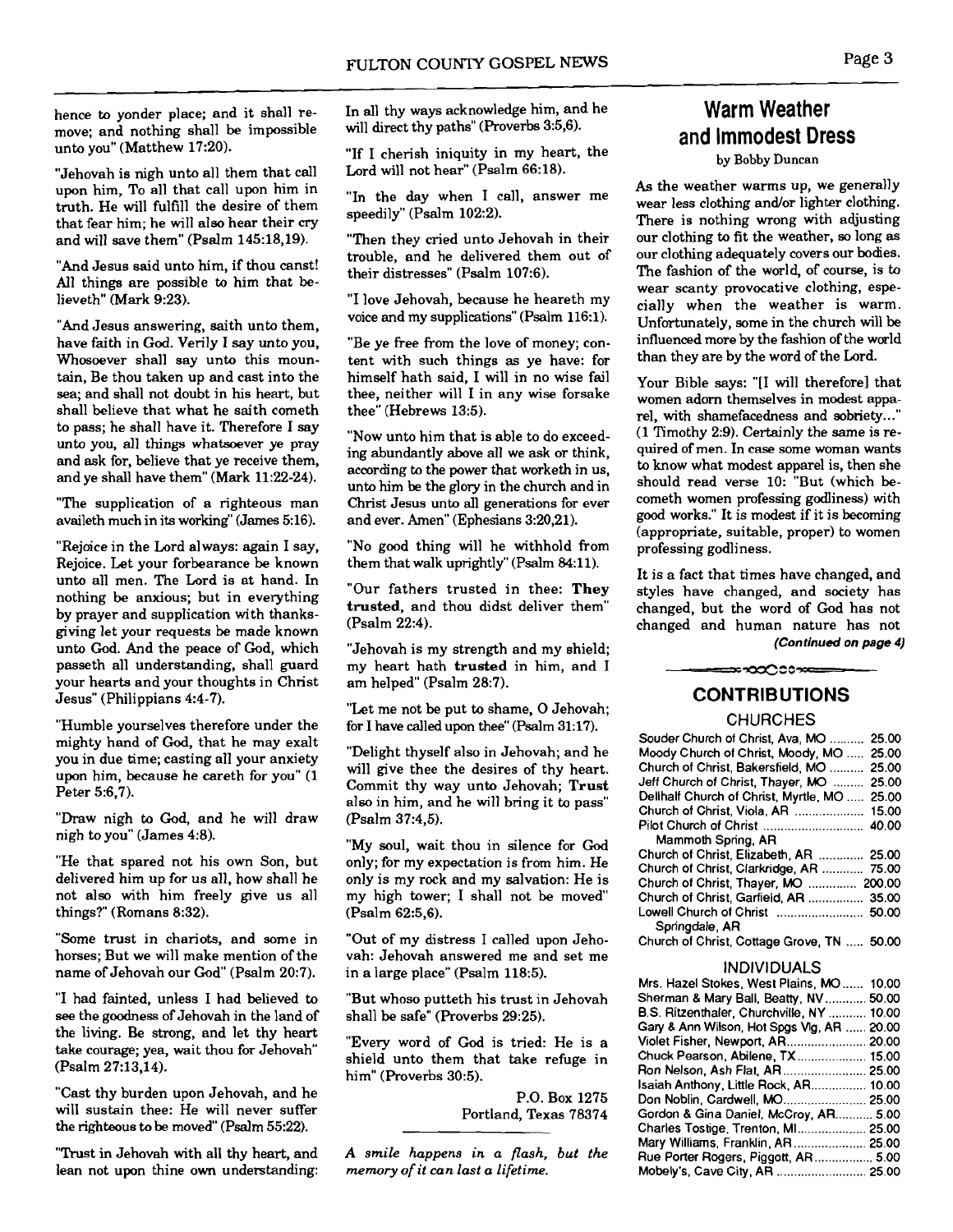hence to yonder place; and it shall remove; and nothing shall be impossible unto you" (Matthew 17:20).

"Jehovah is nigh unto all them that call upon him, To all that call upon him in truth. He will fulfill the desire of them that fear him; he will also hear their **cry**  and will save them" (Psalm 145:18,19).

"And Jesus said unto him, if thou canst! All things are possible to him that believeth" (Mark 9:23).

"And Jesus answering, saith unto them, have faith in God. Verily I say unto you, Whosoever shall say unto this mountain, Be thou taken up and cast into the sea; and shall not doubt in his heart, but shall believe that what he saith cometh to pass; he shall have it. Therefore I say unto you, all things whatsoever ye pray and ask for, believe that ye receive them, and ye shall have them" (Mark 11:22-24).

"The supplication of a righteous man availeth much in its working" (James 516).

"Rejoice in the Lord always: again I say, Rejoice. Let your forbearance be known unto all men. The Lord is at hand. In nothing be anxious; but in everything by prayer and supplication with thanksgiving let your requests be made known unto God. And the peace of God, which passeth all understanding, shall guard your hearts and your thoughts in Christ Jesus" (Philippians 4:4-7).

"Humble yourselves therefore under the mighty hand of **God,** that he may exalt you in due time; casting all your anxiety upon him, because he careth for you" (1 Peter 5:6,7).

"Draw nigh to God, and he will draw nigh to you" (James 4:8).

"He that spared not his own Son, but delivered him up for us all, how shall he not also with him freely give us all things?" (Romans 8:32).

"Some trust in chariots, and some in horses; But we will make mention of the name of Jehovah our God" (Psalm 20:7).

"I had fainted, unless I had believed to **see** the goodness of Jehovah in the land of the living. Be strong, and let thy heart take courage; yea, wait thou for Jehovah (Psalm 27:13,14).

"Cast thy burden upon Jehovah, and he will sustain thee: He will never suffer the righteous to be moved" (Psalm  $55:22$ ).

"Trust in Jehovah with all thy heart, and lean not upon thine own understanding: In all thy ways acknowledge him, and he will direct thy paths" (Proverbs 3:5,6).

"If I cherish iniquity in my heart, the Lord will not hear" (Psalm 66:18).

"In the day when I call, answer me speedily" (Psalm 102:2).

"Then they cried unto Jehovah in their trouble, and he delivered them out of their distresses" (Psalm 107:6).

"I love Jehovah, because he heareth my voice and my supplications" (Psalm 116:l).

"Be ye free from the love of money; content with such things as ye have: for himself hath said, I will in no wise fail thee, neither will I in any wise forsake thee" (Hebrews 13:5).

"Now unto him that is able to do exceeding abundantly above all we ask or think, according to the power that worketh in us, unto him be the glory in the church and in Christ Jesus unto all generations for ever and ever. Amen" (Ephesians 3:20,21).

"No good thing will he withhold from them that walk uprightly" (Psalm 84:11).

"Our fathers trusted in thee: **They trusted,** and thou didst deliver them" (Psalm 22:4).

"Jehovah is my strength and my shield; my heart hath **trusted** in him, and I am helped" (Psalm 28:7).

"Let me not be put to shame, 0 Jehovah; for I have called upon thee" (Psalm 31:17).

"Delight thyself also in Jehovah; and he will give thee the desires of thy heart. Commit thy way unto Jehovah; **Trust**  also in him, and he will bring it to pass" (Psalm 37:4,5).

"My soul, wait thou in silence for God only; for my expectation is from him. He only is my rock and my salvation: He is my high tower; I shall not be moved" (Psalm 62:5,6).

"Out of my distress I called upon Jehovah: Jehovah answered me and set me in a large place" (Psalm 118:5).

"But whoso putteth his trust in Jehovah shall be safe" (Proverbs 29:25).

"Every word of God is tried: He is a shield unto them that take refuge in him" (Proverbs 30:5).

> P.O. Box 1275 Portland, Texas 78374

*A smile happens in a flash, but the memory of it can last a lifetime.* 

# **Warm Weather and Immodest Dress**

by Bobby Duncan

As the weather warms up, we generally wear less clothing and/or lighter clothing. There is nothing wrong with adjusting our clothing to fit the weather, so long as our clothing adequately covers our bodies. The fashion of the world, of course, is to wear scanty provocative clothing, especially when the weather is warm. Unfortunately, some in the church will be influenced more by the fashion of the world than they are by the word of the Lord.

Your Bible says: "[I will therefore] that women adorn themselves in modest apparel, with shamefacedness and sobriety.. ." (1 Timothy 2:9). Certainly the same is required of men. In case some woman wants to know what modest apparel is, then she should read verse 10: "But (which **be**cometh women professing godliness) with good works." It is modest if it is becoming (appropriate, suitable, proper) to women professing godliness.

It is a fact that times have changed, and styles have changed, and society has changed, but the word of God has not changed and human nature has not **(Continued on page 4)** 

⇒∽ಯ∆೦೦≫⇔

# **CONTRIBUTIONS**

 $\overline{a}$ 

## **CHURCHES**

| Souder Church of Christ, Ava, MO  25.00    |       |
|--------------------------------------------|-------|
| Moody Church of Christ, Moody, MO          | 25.00 |
| Church of Christ, Bakersfield, MO          | 25.00 |
| Jeff Church of Christ, Thayer, MO          | 25.00 |
| Dellhalf Church of Christ, Myrtle, MO      | 25.00 |
| Church of Christ, Viola, AR  15.00         |       |
|                                            |       |
| Mammoth Spring, AR                         |       |
| Church of Christ, Elizabeth, AR  25.00     |       |
| Church of Christ, Clarkridge, AR           | 75.00 |
| Church of Christ, Thayer, MO  200.00       |       |
| Church of Christ, Garfield, AR  35.00      |       |
| Lowell Church of Christ                    | 50.00 |
| Springdale, AR                             |       |
| Church of Christ, Cottage Grove, TN  50.00 |       |
|                                            |       |

#### INDIVIDUALS

| Mrs. Hazel Stokes, West Plains, MO 10.00   |  |
|--------------------------------------------|--|
| Sherman & Mary Ball, Beatty, NV 50.00      |  |
| B.S. Ritzenthaler, Churchville, NY  10.00  |  |
| Gary & Ann Wilson, Hot Spgs Vlg, AR  20.00 |  |
| Violet Fisher, Newport, AR 20.00           |  |
| Chuck Pearson, Abilene, TX 15.00           |  |
| Ron Nelson, Ash Flat, AR 25.00             |  |
| Isaiah Anthony, Little Rock, AR 10.00      |  |
| Don Noblin, Cardwell, MO 25.00             |  |
| Gordon & Gina Daniel, McCroy, AR 5.00      |  |
| Charles Tostige, Trenton, MI 25.00         |  |
| Mary Williams, Franklin, AR 25.00          |  |
| Rue Porter Rogers, Piggott, AR 5.00        |  |
| Mobely's, Cave City, AR  25.00             |  |